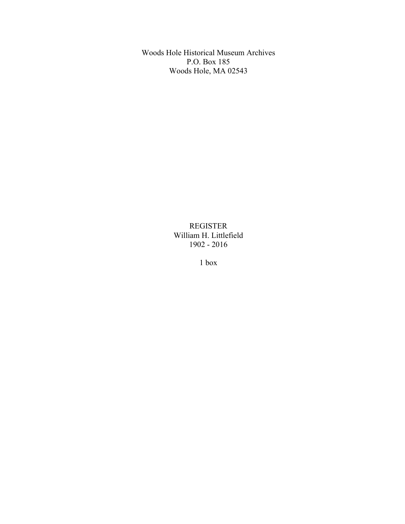Woods Hole Historical Museum Archives P.O. Box 185 Woods Hole, MA 02543

> REGISTER William H. Littlefield 1902 - 2016

> > 1 box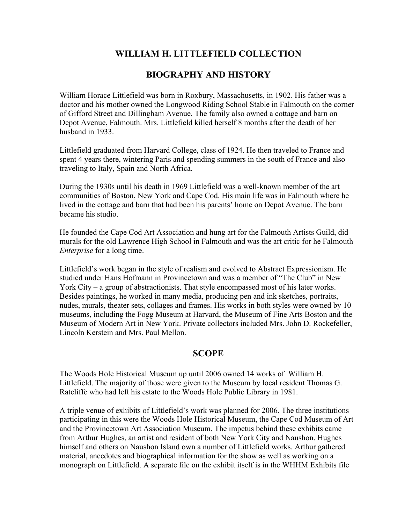# **WILLIAM H. LITTLEFIELD COLLECTION**

## **BIOGRAPHY AND HISTORY**

William Horace Littlefield was born in Roxbury, Massachusetts, in 1902. His father was a doctor and his mother owned the Longwood Riding School Stable in Falmouth on the corner of Gifford Street and Dillingham Avenue. The family also owned a cottage and barn on Depot Avenue, Falmouth. Mrs. Littlefield killed herself 8 months after the death of her husband in 1933.

Littlefield graduated from Harvard College, class of 1924. He then traveled to France and spent 4 years there, wintering Paris and spending summers in the south of France and also traveling to Italy, Spain and North Africa.

During the 1930s until his death in 1969 Littlefield was a well-known member of the art communities of Boston, New York and Cape Cod. His main life was in Falmouth where he lived in the cottage and barn that had been his parents' home on Depot Avenue. The barn became his studio.

He founded the Cape Cod Art Association and hung art for the Falmouth Artists Guild, did murals for the old Lawrence High School in Falmouth and was the art critic for he Falmouth *Enterprise* for a long time.

Littlefield's work began in the style of realism and evolved to Abstract Expressionism. He studied under Hans Hofmann in Provincetown and was a member of "The Club" in New York City – a group of abstractionists. That style encompassed most of his later works. Besides paintings, he worked in many media, producing pen and ink sketches, portraits, nudes, murals, theater sets, collages and frames. His works in both styles were owned by 10 museums, including the Fogg Museum at Harvard, the Museum of Fine Arts Boston and the Museum of Modern Art in New York. Private collectors included Mrs. John D. Rockefeller, Lincoln Kerstein and Mrs. Paul Mellon.

#### **SCOPE**

The Woods Hole Historical Museum up until 2006 owned 14 works of William H. Littlefield. The majority of those were given to the Museum by local resident Thomas G. Ratcliffe who had left his estate to the Woods Hole Public Library in 1981.

A triple venue of exhibits of Littlefield's work was planned for 2006. The three institutions participating in this were the Woods Hole Historical Museum, the Cape Cod Museum of Art and the Provincetown Art Association Museum. The impetus behind these exhibits came from Arthur Hughes, an artist and resident of both New York City and Naushon. Hughes himself and others on Naushon Island own a number of Littlefield works. Arthur gathered material, anecdotes and biographical information for the show as well as working on a monograph on Littlefield. A separate file on the exhibit itself is in the WHHM Exhibits file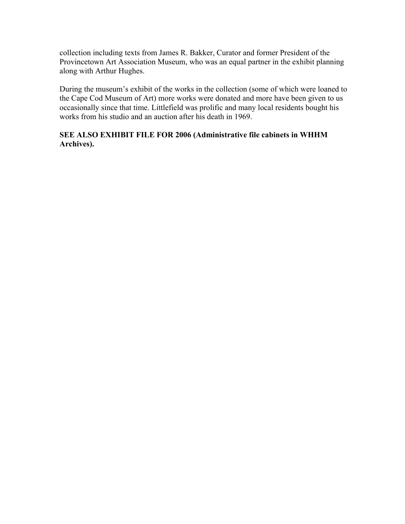collection including texts from James R. Bakker, Curator and former President of the Provincetown Art Association Museum, who was an equal partner in the exhibit planning along with Arthur Hughes.

During the museum's exhibit of the works in the collection (some of which were loaned to the Cape Cod Museum of Art) more works were donated and more have been given to us occasionally since that time. Littlefield was prolific and many local residents bought his works from his studio and an auction after his death in 1969.

#### **SEE ALSO EXHIBIT FILE FOR 2006 (Administrative file cabinets in WHHM Archives).**